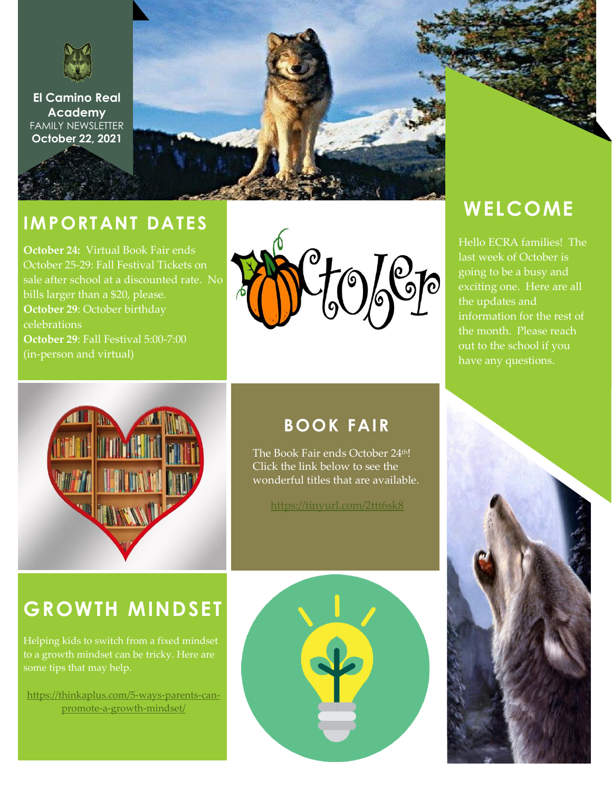

**El Camino Real Academy** FAMILY NEWSLETTER **October 22, 2021**



### **IMPORTANT DATES**

**October 24:** Virtual Book Fair ends October 25-29: Fall Festival Tickets on sale after school at a discounted rate. No bills larger than a \$20, please. **October 29**: October birthday celebrations **October 29**: Fall Festival 5:00-7:00 (in-person and virtual)



# **WELCOME**

Hello ECRA families! The last week of October is going to be a busy and exciting one. Here are all the updates and information for the rest of the month. Please reach out to the school if you have any questions.



### **BOOK FAIR**

The Book Fair ends October 24<sup>th!</sup> Click the link below to see the wonderful titles that are available.

<https://tinyurl.com/2ttt6sk8>

## **GROWTH MINDSET**

Helping kids to switch from a fixed mindset to a growth mindset can be tricky. Here are

[https://thinkaplus.com/5-ways-parents-can](https://thinkaplus.com/5-ways-parents-can-promote-a-growth-mindset/)[promote-a-growth-mindset/](https://thinkaplus.com/5-ways-parents-can-promote-a-growth-mindset/)